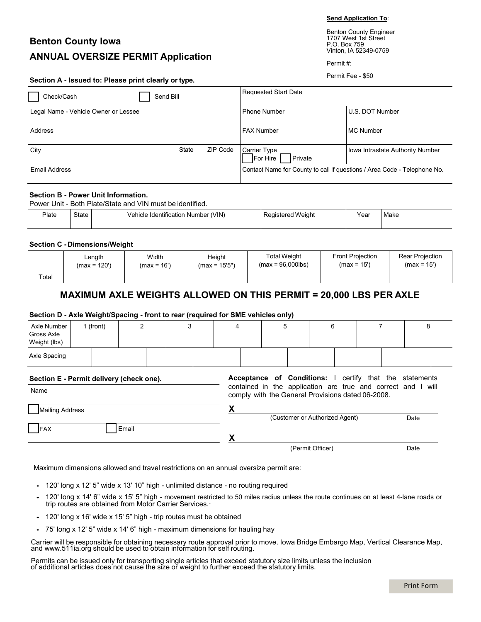**Send Application To**: Benton County Engineer

1707 West 1st Street

# **Benton County Iowa ANNUAL OVERSIZE PERMIT Application**

P.O. Box 759 Vinton, IA 52349-0759 Permit #:

|  |  |  | Section A - Issued to: Please print clearly or type. |  |
|--|--|--|------------------------------------------------------|--|
|--|--|--|------------------------------------------------------|--|

Permit Fee - \$50

| Send Bill<br>Check/Cash              |       |          | <b>Requested Start Date</b>                                              |                                  |
|--------------------------------------|-------|----------|--------------------------------------------------------------------------|----------------------------------|
| Legal Name - Vehicle Owner or Lessee |       |          | <b>Phone Number</b>                                                      | U.S. DOT Number                  |
| Address                              |       |          | <b>FAX Number</b>                                                        | <b>MC Number</b>                 |
| City                                 | State | ZIP Code | Carrier Type<br>For Hire<br>Private                                      | Iowa Intrastate Authority Number |
| Email Address                        |       |          | Contact Name for County to call if questions / Area Code - Telephone No. |                                  |

#### **Section B - Power Unit Information.**

Power Unit - Both Plate/State and VIN must be identified.

| - -<br>Plate | ∋tate | 'VIN.<br>Identification<br>، Number<br>√ehir | ∴inne'<br>$\cdot$ $\cdot$<br>. . | ear' | Make |
|--------------|-------|----------------------------------------------|----------------------------------|------|------|
|              |       |                                              |                                  |      |      |

#### **Section C - Dimensions/Weight**

|       | Length         | Width         | Height          | <b>Total Weight</b>  | <b>Front Projection</b> | Rear Projection |
|-------|----------------|---------------|-----------------|----------------------|-------------------------|-----------------|
|       | $(max = 120')$ | $(max = 16')$ | $(max = 15'5")$ | $(max = 96,000$ lbs) | $(max = 15')$           | $(max = 15')$   |
| Total |                |               |                 |                      |                         |                 |

## **MAXIMUM AXLE WEIGHTS ALLOWED ON THIS PERMIT = 20,000 LBS PER AXLE**

### **Section D - Axle Weight/Spacing - front to rear (required for SME vehicles only)**

| Axle Number<br>Gross Axle<br>Weight (lbs)        | 1 (front) | $\overline{2}$ | 3 | 4 | 5 | 6                                                 |  | 8                                                                                                                              |  |
|--------------------------------------------------|-----------|----------------|---|---|---|---------------------------------------------------|--|--------------------------------------------------------------------------------------------------------------------------------|--|
| Axle Spacing                                     |           |                |   |   |   |                                                   |  |                                                                                                                                |  |
| Section E - Permit delivery (check one).<br>Name |           |                |   |   |   | comply with the General Provisions dated 06-2008. |  | <b>Acceptance of Conditions:</b> I certify that the statements<br>contained in the application are true and correct and I will |  |
| <b>Mailing Address</b>                           |           |                |   |   |   | (Customer or Authorized Agent)                    |  | Date                                                                                                                           |  |
| FAX                                              |           | Email          |   | Y |   |                                                   |  |                                                                                                                                |  |
|                                                  |           |                |   |   |   | (Permit Officer)                                  |  | Date                                                                                                                           |  |

Maximum dimensions allowed and travel restrictions on an annual oversize permit are:

- 120' long x 12' 5" wide x 13' 10" high unlimited distance no routing required
- 120' long x 14' 6" wide x 15' 5" high movement restricted to 50 miles radius unless the route continues on at least 4-lane roads or trip routes are obtained from Motor Carrier Services.
- 120' long x 16' wide x 15' 5" high trip routes must be obtained
- 75' long x 12' 5" wide x 14' 6" high maximum dimensions for hauling hay

Carrier will be responsible for obtaining necessary route approval prior to move. Iowa Bridge Embargo Map, Vertical Clearance Map, an[d www.511ia.org](http://www.511ia.org/) should be used to obtain information for self routing.

Permits can be issued only for transporting single articles that exceed statutory size limits unless the inclusion of additional articles does not cause the size or weight to further exceed the statutory limits.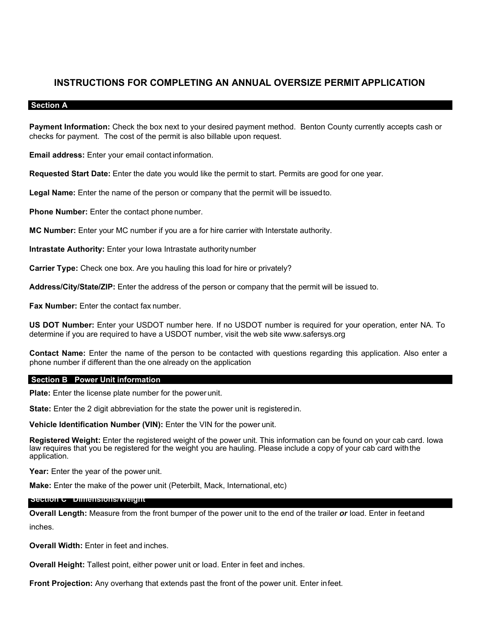## **INSTRUCTIONS FOR COMPLETING AN ANNUAL OVERSIZE PERMIT APPLICATION**

## **Section A**

**Payment Information:** Check the box next to your desired payment method. Benton County currently accepts cash or checks for payment. The cost of the permit is also billable upon request.

**Email address:** Enter your email contact information.

**Requested Start Date:** Enter the date you would like the permit to start. Permits are good for one year.

**Legal Name:** Enter the name of the person or company that the permit will be issuedto.

**Phone Number:** Enter the contact phone number.

**MC Number:** Enter your MC number if you are a for hire carrier with Interstate authority.

**Intrastate Authority:** Enter your Iowa Intrastate authoritynumber

**Carrier Type:** Check one box. Are you hauling this load for hire or privately?

**Address/City/State/ZIP:** Enter the address of the person or company that the permit will be issued to.

**Fax Number:** Enter the contact fax number.

**US DOT Number:** Enter your USDOT number here. If no USDOT number is required for your operation, enter NA. To determine if you are required to have a USDOT number, visit the web site [www.safersys.org](http://www.safersys.org/) 

**Contact Name:** Enter the name of the person to be contacted with questions regarding this application. Also enter a phone number if different than the one already on the application

### **- Section B Power Unit information**

**Plate:** Enter the license plate number for the power unit.

**State:** Enter the 2 digit abbreviation for the state the power unit is registeredin.

**Vehicle Identification Number (VIN):** Enter the VIN for the power unit.

**Registered Weight:** Enter the registered weight of the power unit. This information can be found on your cab card. Iowa law requires that you be registered for the weight you are hauling. Please include a copy of your cab card withthe application.

**Year:** Enter the year of the power unit.

**Make:** Enter the make of the power unit (Peterbilt, Mack, International, etc)

## **- Section C Dimensions/Weight**

**Overall Length:** Measure from the front bumper of the power unit to the end of the trailer *or* load. Enter in feetand inches.

**Overall Width:** Enter in feet and inches.

**Overall Height:** Tallest point, either power unit or load. Enter in feet and inches.

**Front Projection:** Any overhang that extends past the front of the power unit. Enter infeet.